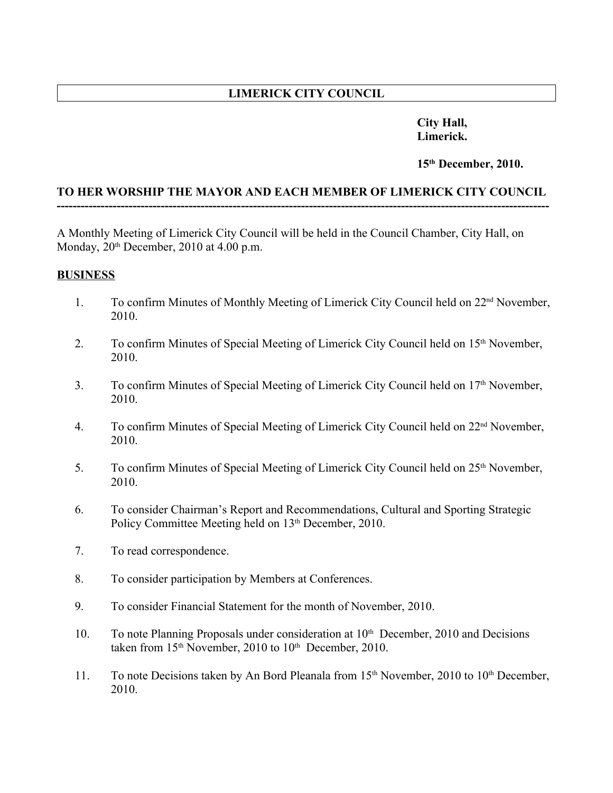# **LIMERICK CITY COUNCIL**

### **City Hall, Limerick.**

#### **15th December, 2010.**

#### **TO HER WORSHIP THE MAYOR AND EACH MEMBER OF LIMERICK CITY COUNCIL ---------------------------------------------------------------------------------------------------------------------------**

A Monthly Meeting of Limerick City Council will be held in the Council Chamber, City Hall, on Monday,  $20<sup>th</sup>$  December,  $2010$  at 4.00 p.m.

#### **BUSINESS**

- 1. To confirm Minutes of Monthly Meeting of Limerick City Council held on 22nd November, 2010.
- 2. To confirm Minutes of Special Meeting of Limerick City Council held on 15<sup>th</sup> November, 2010.
- 3. To confirm Minutes of Special Meeting of Limerick City Council held on 17<sup>th</sup> November, 2010.
- 4. To confirm Minutes of Special Meeting of Limerick City Council held on 22nd November, 2010.
- 5. To confirm Minutes of Special Meeting of Limerick City Council held on 25<sup>th</sup> November, 2010.
- 6. To consider Chairman's Report and Recommendations, Cultural and Sporting Strategic Policy Committee Meeting held on 13<sup>th</sup> December, 2010.
- 7. To read correspondence.
- 8. To consider participation by Members at Conferences.
- 9. To consider Financial Statement for the month of November, 2010.
- 10. To note Planning Proposals under consideration at 10<sup>th</sup> December, 2010 and Decisions taken from 15<sup>th</sup> November, 2010 to 10<sup>th</sup> December, 2010.
- 11. To note Decisions taken by An Bord Pleanala from 15<sup>th</sup> November, 2010 to 10<sup>th</sup> December, 2010.